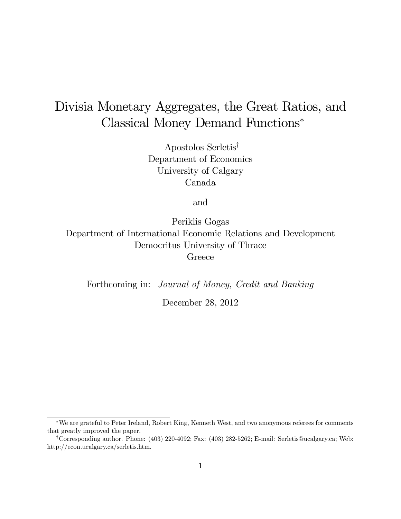# Divisia Monetary Aggregates, the Great Ratios, and Classical Money Demand Functions

Apostolos Serletis<sup>†</sup> Department of Economics University of Calgary Canada

and

Periklis Gogas Department of International Economic Relations and Development Democritus University of Thrace **Greece** 

Forthcoming in: Journal of Money, Credit and Banking

December 28, 2012

We are grateful to Peter Ireland, Robert King, Kenneth West, and two anonymous referees for comments that greatly improved the paper.

<sup>y</sup>Corresponding author. Phone: (403) 220-4092; Fax: (403) 282-5262; E-mail: Serletis@ucalgary.ca; Web: http://econ.ucalgary.ca/serletis.htm.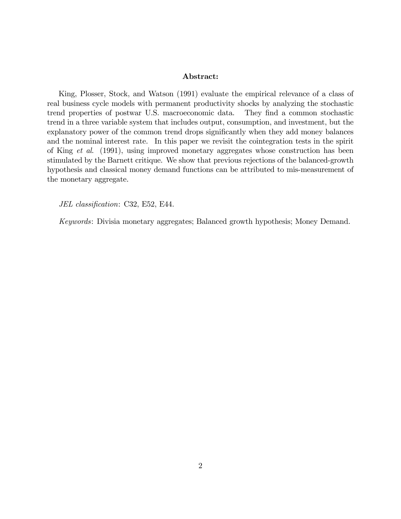#### Abstract:

King, Plosser, Stock, and Watson (1991) evaluate the empirical relevance of a class of real business cycle models with permanent productivity shocks by analyzing the stochastic trend properties of postwar U.S. macroeconomic data. They Önd a common stochastic trend in a three variable system that includes output, consumption, and investment, but the explanatory power of the common trend drops significantly when they add money balances and the nominal interest rate. In this paper we revisit the cointegration tests in the spirit of King et al. (1991), using improved monetary aggregates whose construction has been stimulated by the Barnett critique. We show that previous rejections of the balanced-growth hypothesis and classical money demand functions can be attributed to mis-measurement of the monetary aggregate.

JEL classification: C32, E52, E44.

Keywords: Divisia monetary aggregates; Balanced growth hypothesis; Money Demand.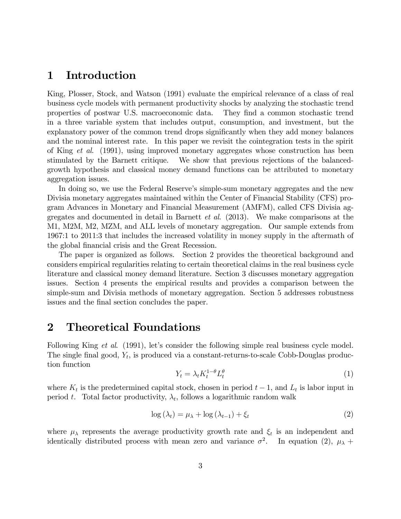#### 1 Introduction

King, Plosser, Stock, and Watson (1991) evaluate the empirical relevance of a class of real business cycle models with permanent productivity shocks by analyzing the stochastic trend properties of postwar U.S. macroeconomic data. They Önd a common stochastic trend in a three variable system that includes output, consumption, and investment, but the explanatory power of the common trend drops significantly when they add money balances and the nominal interest rate. In this paper we revisit the cointegration tests in the spirit of King et al. (1991), using improved monetary aggregates whose construction has been stimulated by the Barnett critique. We show that previous rejections of the balancedgrowth hypothesis and classical money demand functions can be attributed to monetary aggregation issues.

In doing so, we use the Federal Reserve's simple-sum monetary aggregates and the new Divisia monetary aggregates maintained within the Center of Financial Stability (CFS) program Advances in Monetary and Financial Measurement (AMFM), called CFS Divisia aggregates and documented in detail in Barnett et al. (2013). We make comparisons at the M1, M2M, M2, MZM, and ALL levels of monetary aggregation. Our sample extends from 1967:1 to 2011:3 that includes the increased volatility in money supply in the aftermath of the global financial crisis and the Great Recession.

The paper is organized as follows. Section 2 provides the theoretical background and considers empirical regularities relating to certain theoretical claims in the real business cycle literature and classical money demand literature. Section 3 discusses monetary aggregation issues. Section 4 presents the empirical results and provides a comparison between the simple-sum and Divisia methods of monetary aggregation. Section 5 addresses robustness issues and the final section concludes the paper.

### 2 Theoretical Foundations

Following King et al. (1991), let's consider the following simple real business cycle model. The single final good,  $Y_t$ , is produced via a constant-returns-to-scale Cobb-Douglas production function

$$
Y_t = \lambda_t K_t^{1-\theta} L_t^{\theta} \tag{1}
$$

where  $K_t$  is the predetermined capital stock, chosen in period  $t-1$ , and  $L_t$  is labor input in period t. Total factor productivity,  $\lambda_t$ , follows a logarithmic random walk

$$
\log(\lambda_t) = \mu_{\lambda} + \log(\lambda_{t-1}) + \xi_t \tag{2}
$$

where  $\mu_{\lambda}$  represents the average productivity growth rate and  $\xi_t$  is an independent and identically distributed process with mean zero and variance  $\sigma^2$ . In equation (2),  $\mu_{\lambda}$  +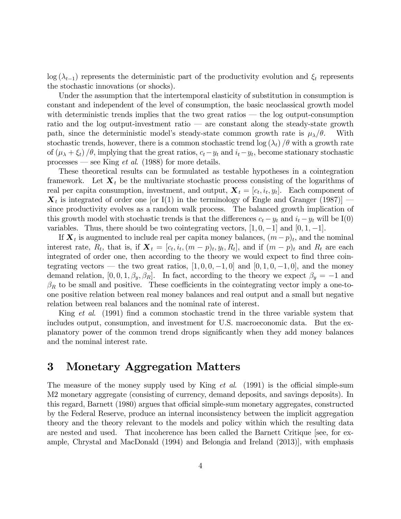$\log(\lambda_{t-1})$  represents the deterministic part of the productivity evolution and  $\xi_t$  represents the stochastic innovations (or shocks).

Under the assumption that the intertemporal elasticity of substitution in consumption is constant and independent of the level of consumption, the basic neoclassical growth model with deterministic trends implies that the two great ratios  $-$  the log output-consumption ratio and the log output-investment ratio  $\overline{a}$  are constant along the steady-state growth path, since the deterministic model's steady-state common growth rate is  $\mu_{\lambda}/\theta$ . With stochastic trends, however, there is a common stochastic trend  $\log(\lambda_t)/\theta$  with a growth rate of  $(\mu_{\lambda} + \xi_t)$  / $\theta$ , implying that the great ratios,  $c_t - y_t$  and  $i_t - y_t$ , become stationary stochastic processes – see King *et al.* (1988) for more details.

These theoretical results can be formulated as testable hypotheses in a cointegration framework. Let  $\mathbf{X}_t$  be the multivariate stochastic process consisting of the logarithms of real per capita consumption, investment, and output,  $\mathbf{X}_t = [c_t, i_t, y_t]$ . Each component of  $\mathbf{X}_t$  is integrated of order one [or I(1) in the terminology of Engle and Granger (1987)] – since productivity evolves as a random walk process. The balanced growth implication of this growth model with stochastic trends is that the differences  $c_t - y_t$  and  $i_t - y_t$  will be I(0) variables. Thus, there should be two cointegrating vectors,  $[1, 0, -1]$  and  $[0, 1, -1]$ .

If  $\mathbf{X}_t$  is augmented to include real per capita money balances,  $(m-p)_t$ , and the nominal interest rate,  $R_t$ , that is, if  $\mathbf{X}_t = [c_t, i_t, (m-p)_t, y_t, R_t]$ , and if  $(m-p)_t$  and  $R_t$  are each integrated of order one, then according to the theory we would expect to find three cointegrating vectors – the two great ratios,  $[1, 0, 0, -1, 0]$  and  $[0, 1, 0, -1, 0]$ , and the money demand relation,  $[0, 0, 1, \beta_y, \beta_R]$ . In fact, according to the theory we expect  $\beta_y = -1$  and  $\beta_R$  to be small and positive. These coefficients in the cointegrating vector imply a one-toone positive relation between real money balances and real output and a small but negative relation between real balances and the nominal rate of interest.

King *et al.* (1991) find a common stochastic trend in the three variable system that includes output, consumption, and investment for U.S. macroeconomic data. But the explanatory power of the common trend drops significantly when they add money balances and the nominal interest rate.

### 3 Monetary Aggregation Matters

The measure of the money supply used by King  $et \ al.$  (1991) is the official simple-sum M2 monetary aggregate (consisting of currency, demand deposits, and savings deposits). In this regard, Barnett (1980) argues that official simple-sum monetary aggregates, constructed by the Federal Reserve, produce an internal inconsistency between the implicit aggregation theory and the theory relevant to the models and policy within which the resulting data are nested and used. That incoherence has been called the Barnett Critique [see, for example, Chrystal and MacDonald (1994) and Belongia and Ireland (2013)], with emphasis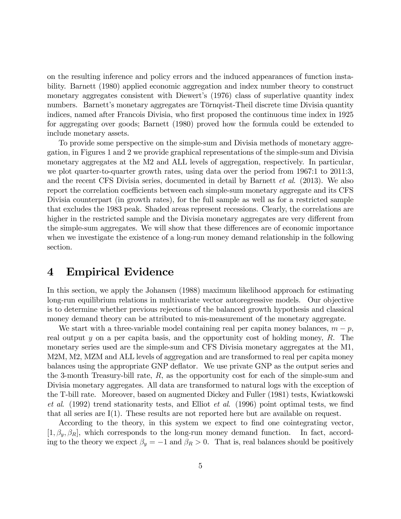on the resulting inference and policy errors and the induced appearances of function instability. Barnett (1980) applied economic aggregation and index number theory to construct monetary aggregates consistent with Diewert's (1976) class of superlative quantity index numbers. Barnett's monetary aggregates are Törnqvist-Theil discrete time Divisia quantity indices, named after Francois Divisia, who first proposed the continuous time index in 1925 for aggregating over goods; Barnett (1980) proved how the formula could be extended to include monetary assets.

To provide some perspective on the simple-sum and Divisia methods of monetary aggregation, in Figures 1 and 2 we provide graphical representations of the simple-sum and Divisia monetary aggregates at the M2 and ALL levels of aggregation, respectively. In particular, we plot quarter-to-quarter growth rates, using data over the period from 1967:1 to 2011:3, and the recent CFS Divisia series, documented in detail by Barnett et al. (2013). We also report the correlation coefficients between each simple-sum monetary aggregate and its CFS Divisia counterpart (in growth rates), for the full sample as well as for a restricted sample that excludes the 1983 peak. Shaded areas represent recessions. Clearly, the correlations are higher in the restricted sample and the Divisia monetary aggregates are very different from the simple-sum aggregates. We will show that these differences are of economic importance when we investigate the existence of a long-run money demand relationship in the following section.

#### 4 Empirical Evidence

In this section, we apply the Johansen (1988) maximum likelihood approach for estimating long-run equilibrium relations in multivariate vector autoregressive models. Our objective is to determine whether previous rejections of the balanced growth hypothesis and classical money demand theory can be attributed to mis-measurement of the monetary aggregate.

We start with a three-variable model containing real per capita money balances,  $m - p$ , real output y on a per capita basis, and the opportunity cost of holding money,  $R$ . The monetary series used are the simple-sum and CFS Divisia monetary aggregates at the M1, M2M, M2, MZM and ALL levels of aggregation and are transformed to real per capita money balances using the appropriate GNP deflator. We use private GNP as the output series and the 3-month Treasury-bill rate,  $R$ , as the opportunity cost for each of the simple-sum and Divisia monetary aggregates. All data are transformed to natural logs with the exception of the T-bill rate. Moreover, based on augmented Dickey and Fuller (1981) tests, Kwiatkowski et al.  $(1992)$  trend stationarity tests, and Elliot *et al.*  $(1996)$  point optimal tests, we find that all series are I(1). These results are not reported here but are available on request.

According to the theory, in this system we expect to find one cointegrating vector,  $[1,\beta_y,\beta_R]$ , which corresponds to the long-run money demand function. In fact, according to the theory we expect  $\beta_y = -1$  and  $\beta_R > 0$ . That is, real balances should be positively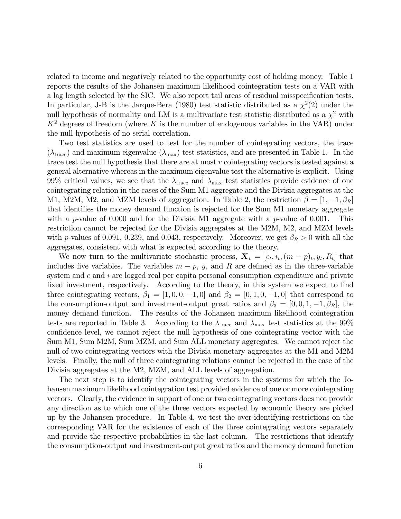related to income and negatively related to the opportunity cost of holding money. Table 1 reports the results of the Johansen maximum likelihood cointegration tests on a VAR with a lag length selected by the SIC. We also report tail areas of residual misspecification tests. In particular, J-B is the Jarque-Bera (1980) test statistic distributed as a  $\chi^2(2)$  under the null hypothesis of normality and LM is a multivariate test statistic distributed as a  $\chi^2$  with  $K^2$  degrees of freedom (where K is the number of endogenous variables in the VAR) under the null hypothesis of no serial correlation.

Two test statistics are used to test for the number of cointegrating vectors, the trace  $(\lambda_{\text{trace}})$  and maximum eigenvalue  $(\lambda_{\text{max}})$  test statistics, and are presented in Table 1. In the trace test the null hypothesis that there are at most  $r$  cointegrating vectors is tested against a general alternative whereas in the maximum eigenvalue test the alternative is explicit. Using 99% critical values, we see that the  $\lambda_{\text{trace}}$  and  $\lambda_{\text{max}}$  test statistics provide evidence of one cointegrating relation in the cases of the Sum M1 aggregate and the Divisia aggregates at the M1, M2M, M2, and MZM levels of aggregation. In Table 2, the restriction  $\beta = [1, -1, \beta_R]$ that identifies the money demand function is rejected for the Sum M1 monetary aggregate with a p-value of 0.000 and for the Divisia M1 aggregate with a p-value of 0.001. This restriction cannot be rejected for the Divisia aggregates at the M2M, M2, and MZM levels with p-values of 0.091, 0.239, and 0.043, respectively. Moreover, we get  $\beta_R > 0$  with all the aggregates, consistent with what is expected according to the theory.

We now turn to the multivariate stochastic process,  $\mathbf{X}_t = [c_t, i_t, (m-p)_t, y_t, R_t]$  that includes five variables. The variables  $m - p$ , y, and R are defined as in the three-variable system and  $c$  and  $i$  are logged real per capita personal consumption expenditure and private fixed investment, respectively. According to the theory, in this system we expect to find three cointegrating vectors,  $\beta_1 = [1, 0, 0, -1, 0]$  and  $\beta_2 = [0, 1, 0, -1, 0]$  that correspond to the consumption-output and investment-output great ratios and  $\beta_3 = [0, 0, 1, -1, \beta_R]$ , the money demand function. The results of the Johansen maximum likelihood cointegration The results of the Johansen maximum likelihood cointegration. tests are reported in Table 3. According to the  $\lambda_{\text{trace}}$  and  $\lambda_{\text{max}}$  test statistics at the 99% confidence level, we cannot reject the null hypothesis of one cointegrating vector with the Sum M1, Sum M2M, Sum MZM, and Sum ALL monetary aggregates. We cannot reject the null of two cointegrating vectors with the Divisia monetary aggregates at the M1 and M2M levels. Finally, the null of three cointegrating relations cannot be rejected in the case of the Divisia aggregates at the M2, MZM, and ALL levels of aggregation.

The next step is to identify the cointegrating vectors in the systems for which the Johansen maximum likelihood cointegration test provided evidence of one or more cointegrating vectors. Clearly, the evidence in support of one or two cointegrating vectors does not provide any direction as to which one of the three vectors expected by economic theory are picked up by the Johansen procedure. In Table 4, we test the over-identifying restrictions on the corresponding VAR for the existence of each of the three cointegrating vectors separately and provide the respective probabilities in the last column. The restrictions that identify the consumption-output and investment-output great ratios and the money demand function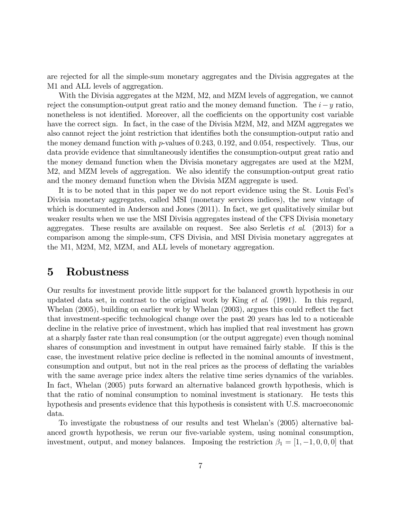are rejected for all the simple-sum monetary aggregates and the Divisia aggregates at the M1 and ALL levels of aggregation.

With the Divisia aggregates at the M2M, M2, and MZM levels of aggregation, we cannot reject the consumption-output great ratio and the money demand function. The  $i-y$  ratio, nonetheless is not identified. Moreover, all the coefficients on the opportunity cost variable have the correct sign. In fact, in the case of the Divisia M2M, M2, and MZM aggregates we also cannot reject the joint restriction that identifies both the consumption-output ratio and the money demand function with  $p$ -values of 0.243, 0.192, and 0.054, respectively. Thus, our data provide evidence that simultaneously identifies the consumption-output great ratio and the money demand function when the Divisia monetary aggregates are used at the M2M, M2, and MZM levels of aggregation. We also identify the consumption-output great ratio and the money demand function when the Divisia MZM aggregate is used.

It is to be noted that in this paper we do not report evidence using the St. Louis Fed's Divisia monetary aggregates, called MSI (monetary services indices), the new vintage of which is documented in Anderson and Jones (2011). In fact, we get qualitatively similar but weaker results when we use the MSI Divisia aggregates instead of the CFS Divisia monetary aggregates. These results are available on request. See also Serletis *et al.*  $(2013)$  for a comparison among the simple-sum, CFS Divisia, and MSI Divisia monetary aggregates at the M1, M2M, M2, MZM, and ALL levels of monetary aggregation.

#### 5 Robustness

Our results for investment provide little support for the balanced growth hypothesis in our updated data set, in contrast to the original work by King  $et \ al.$  (1991). In this regard, Whelan (2005), building on earlier work by Whelan (2003), argues this could reflect the fact that investment-specific technological change over the past 20 years has led to a noticeable decline in the relative price of investment, which has implied that real investment has grown at a sharply faster rate than real consumption (or the output aggregate) even though nominal shares of consumption and investment in output have remained fairly stable. If this is the case, the investment relative price decline is reflected in the nominal amounts of investment, consumption and output, but not in the real prices as the process of deflating the variables with the same average price index alters the relative time series dynamics of the variables. In fact, Whelan (2005) puts forward an alternative balanced growth hypothesis, which is that the ratio of nominal consumption to nominal investment is stationary. He tests this hypothesis and presents evidence that this hypothesis is consistent with U.S. macroeconomic data.

To investigate the robustness of our results and test Whelanís (2005) alternative balanced growth hypothesis, we rerun our five-variable system, using nominal consumption, investment, output, and money balances. Imposing the restriction  $\beta_1 = [1, -1, 0, 0, 0]$  that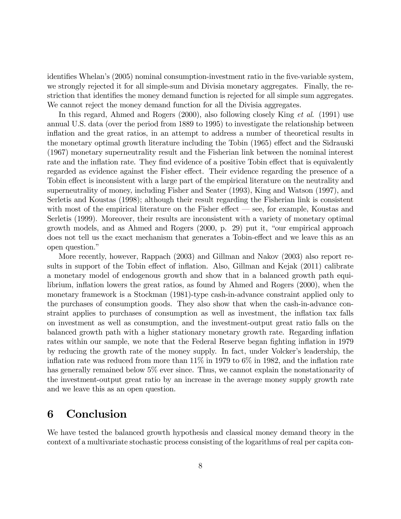identifies Whelan's (2005) nominal consumption-investment ratio in the five-variable system, we strongly rejected it for all simple-sum and Divisia monetary aggregates. Finally, the restriction that identifies the money demand function is rejected for all simple sum aggregates. We cannot reject the money demand function for all the Divisia aggregates.

In this regard, Ahmed and Rogers (2000), also following closely King *et al.* (1991) use annual U.S. data (over the period from 1889 to 1995) to investigate the relationship between inflation and the great ratios, in an attempt to address a number of theoretical results in the monetary optimal growth literature including the Tobin (1965) effect and the Sidrauski (1967) monetary superneutrality result and the Fisherian link between the nominal interest rate and the inflation rate. They find evidence of a positive Tobin effect that is equivalently regarded as evidence against the Fisher effect. Their evidence regarding the presence of a Tobin effect is inconsistent with a large part of the empirical literature on the neutrality and superneutrality of money, including Fisher and Seater (1993), King and Watson (1997), and Serletis and Koustas (1998); although their result regarding the Fisherian link is consistent with most of the empirical literature on the Fisher effect  $\sim$  see, for example, Koustas and Serletis (1999). Moreover, their results are inconsistent with a variety of monetary optimal growth models, and as Ahmed and Rogers (2000, p. 29) put it, "our empirical approach does not tell us the exact mechanism that generates a Tobin-effect and we leave this as an open question."

More recently, however, Rappach (2003) and Gillman and Nakov (2003) also report results in support of the Tobin effect of inflation. Also, Gillman and Kejak (2011) calibrate a monetary model of endogenous growth and show that in a balanced growth path equilibrium, inflation lowers the great ratios, as found by Ahmed and Rogers (2000), when the monetary framework is a Stockman (1981)-type cash-in-advance constraint applied only to the purchases of consumption goods. They also show that when the cash-in-advance constraint applies to purchases of consumption as well as investment, the inflation tax falls on investment as well as consumption, and the investment-output great ratio falls on the balanced growth path with a higher stationary monetary growth rate. Regarding inflation rates within our sample, we note that the Federal Reserve began fighting inflation in 1979 by reducing the growth rate of the money supply. In fact, under Volcker's leadership, the inflation rate was reduced from more than  $11\%$  in 1979 to 6% in 1982, and the inflation rate has generally remained below  $5\%$  ever since. Thus, we cannot explain the nonstationarity of the investment-output great ratio by an increase in the average money supply growth rate and we leave this as an open question.

### 6 Conclusion

We have tested the balanced growth hypothesis and classical money demand theory in the context of a multivariate stochastic process consisting of the logarithms of real per capita con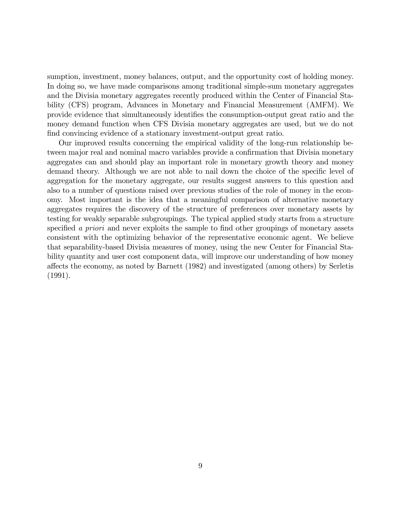sumption, investment, money balances, output, and the opportunity cost of holding money. In doing so, we have made comparisons among traditional simple-sum monetary aggregates and the Divisia monetary aggregates recently produced within the Center of Financial Stability (CFS) program, Advances in Monetary and Financial Measurement (AMFM). We provide evidence that simultaneously identifies the consumption-output great ratio and the money demand function when CFS Divisia monetary aggregates are used, but we do not find convincing evidence of a stationary investment-output great ratio.

Our improved results concerning the empirical validity of the long-run relationship between major real and nominal macro variables provide a confirmation that Divisia monetary aggregates can and should play an important role in monetary growth theory and money demand theory. Although we are not able to nail down the choice of the specific level of aggregation for the monetary aggregate, our results suggest answers to this question and also to a number of questions raised over previous studies of the role of money in the economy. Most important is the idea that a meaningful comparison of alternative monetary aggregates requires the discovery of the structure of preferences over monetary assets by testing for weakly separable subgroupings. The typical applied study starts from a structure specified a priori and never exploits the sample to find other groupings of monetary assets consistent with the optimizing behavior of the representative economic agent. We believe that separability-based Divisia measures of money, using the new Center for Financial Stability quantity and user cost component data, will improve our understanding of how money a§ects the economy, as noted by Barnett (1982) and investigated (among others) by Serletis (1991).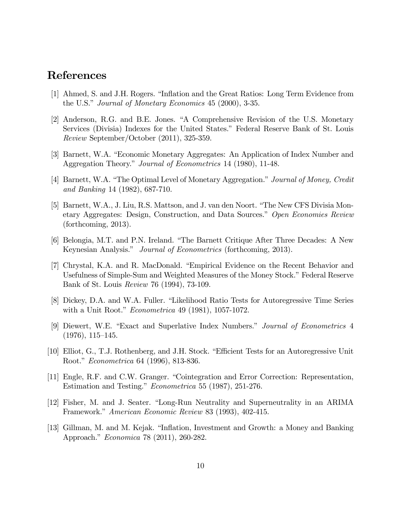#### References

- [1] Ahmed, S. and J.H. Rogers. "Inflation and the Great Ratios: Long Term Evidence from the U.S." Journal of Monetary Economics  $45$  (2000), 3-35.
- [2] Anderson, R.G. and B.E. Jones. "A Comprehensive Revision of the U.S. Monetary Services (Divisia) Indexes for the United States." Federal Reserve Bank of St. Louis  $Review$  September/October  $(2011)$ , 325-359.
- [3] Barnett, W.A. "Economic Monetary Aggregates: An Application of Index Number and Aggregation Theory." *Journal of Econometrics* 14 (1980), 11-48.
- [4] Barnett, W.A. "The Optimal Level of Monetary Aggregation." Journal of Money, Credit and Banking 14 (1982), 687-710.
- [5] Barnett, W.A., J. Liu, R.S. Mattson, and J. van den Noort. "The New CFS Divisia Monetary Aggregates: Design, Construction, and Data Sources." Open Economies Review (forthcoming,  $2013$ ).
- [6] Belongia, M.T. and P.N. Ireland. "The Barnett Critique After Three Decades: A New Keynesian Analysis." *Journal of Econometrics* (forthcoming, 2013).
- [7] Chrystal, K.A. and R. MacDonald. "Empirical Evidence on the Recent Behavior and Usefulness of Simple-Sum and Weighted Measures of the Money Stock." Federal Reserve Bank of St. Louis Review 76 (1994), 73-109.
- [8] Dickey, D.A. and W.A. Fuller. "Likelihood Ratio Tests for Autoregressive Time Series with a Unit Root." *Econometrica* 49 (1981), 1057-1072.
- [9] Diewert, W.E. "Exact and Superlative Index Numbers." Journal of Econometrics 4  $(1976), 115-145.$
- [10] Elliot, G., T.J. Rothenberg, and J.H. Stock. "Efficient Tests for an Autoregressive Unit Root." Econometrica 64 (1996), 813-836.
- [11] Engle, R.F. and C.W. Granger. "Cointegration and Error Correction: Representation, Estimation and Testing." *Econometrica* 55 (1987), 251-276.
- [12] Fisher, M. and J. Seater. "Long-Run Neutrality and Superneutrality in an ARIMA Framework." American Economic Review 83 (1993), 402-415.
- [13] Gillman, M. and M. Kejak. "Inflation, Investment and Growth: a Money and Banking Approach." *Economica* 78 (2011), 260-282.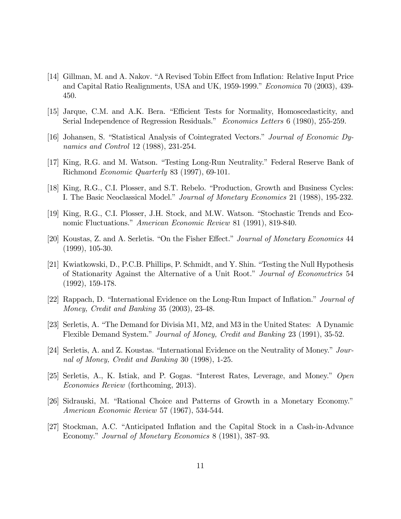- [14] Gillman, M. and A. Nakov. "A Revised Tobin Effect from Inflation: Relative Input Price and Capital Ratio Realignments, USA and UK, 1959-1999." Economica 70 (2003), 439-450.
- [15] Jarque, C.M. and A.K. Bera. "Efficient Tests for Normality, Homoscedasticity, and Serial Independence of Regression Residuals." Economics Letters 6 (1980), 255-259.
- [16] Johansen, S. "Statistical Analysis of Cointegrated Vectors." Journal of Economic Dynamics and Control 12 (1988), 231-254.
- [17] King, R.G. and M. Watson. "Testing Long-Run Neutrality." Federal Reserve Bank of Richmond Economic Quarterly 83 (1997), 69-101.
- [18] King, R.G., C.I. Plosser, and S.T. Rebelo. "Production, Growth and Business Cycles: I. The Basic Neoclassical Model." Journal of Monetary Economics 21 (1988), 195-232.
- [19] King, R.G., C.I. Plosser, J.H. Stock, and M.W. Watson. "Stochastic Trends and Economic Fluctuations." American Economic Review 81 (1991), 819-840.
- [20] Koustas, Z. and A. Serletis. "On the Fisher Effect." Journal of Monetary Economics 44  $(1999), 105-30.$
- [21] Kwiatkowski, D., P.C.B. Phillips, P. Schmidt, and Y. Shin. "Testing the Null Hypothesis of Stationarity Against the Alternative of a Unit Root." Journal of Econometrics 54  $(1992), 159-178.$
- [22] Rappach, D. "International Evidence on the Long-Run Impact of Inflation." Journal of Money, Credit and Banking 35 (2003), 23-48.
- [23] Serletis, A. "The Demand for Divisia M1, M2, and M3 in the United States: A Dynamic Flexible Demand System." Journal of Money, Credit and Banking 23 (1991), 35-52.
- [24] Serletis, A. and Z. Koustas. "International Evidence on the Neutrality of Money." Journal of Money, Credit and Banking 30 (1998), 1-25.
- [25] Serletis, A., K. Istiak, and P. Gogas. "Interest Rates, Leverage, and Money." Open *Economies Review* (forthcoming, 2013).
- [26] Sidrauski, M. "Rational Choice and Patterns of Growth in a Monetary Economy." American Economic Review 57 (1967), 534-544.
- [27] Stockman, A.C. "Anticipated Inflation and the Capital Stock in a Cash-in-Advance Economy." Journal of Monetary Economics 8 (1981), 387–93.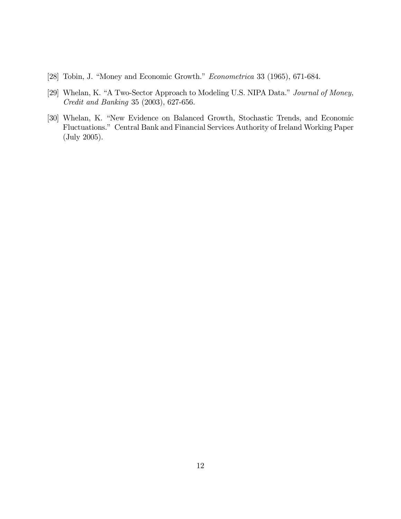- [28] Tobin, J. "Money and Economic Growth."  $Econometrica$  33 (1965), 671-684.
- [29] Whelan, K. "A Two-Sector Approach to Modeling U.S. NIPA Data." Journal of Money, Credit and Banking 35 (2003), 627-656.
- [30] Whelan, K. "New Evidence on Balanced Growth, Stochastic Trends, and Economic Fluctuations.î Central Bank and Financial Services Authority of Ireland Working Paper (July 2005).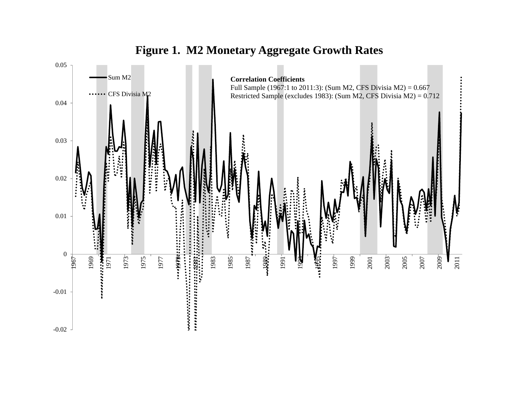

### **Figure 1. M2 Monetary Aggregate Growth Rates**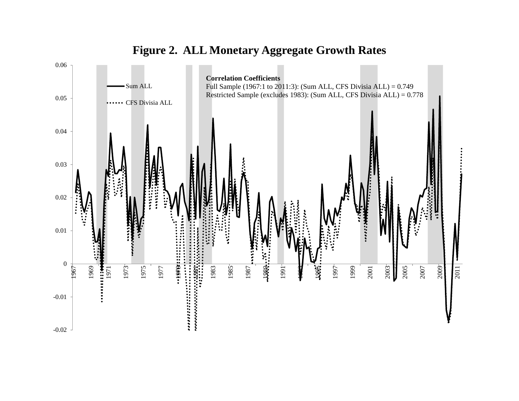

## **Figure 2. ALL Monetary Aggregate Growth Rates**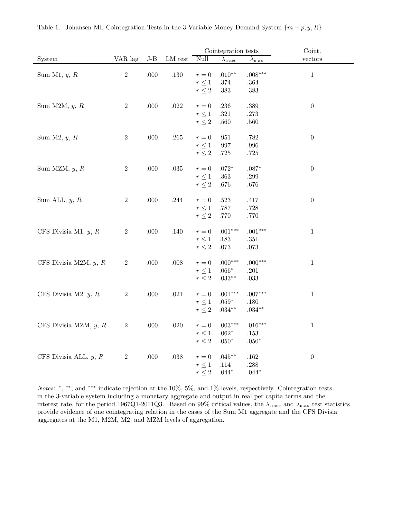|                         |                |       |          |                                                           | Cointegration tests                         |                                   | Coint.           |
|-------------------------|----------------|-------|----------|-----------------------------------------------------------|---------------------------------------------|-----------------------------------|------------------|
| System                  | VAR lag        | $J-B$ | LM test  | Null                                                      | $\lambda_{\text{trace}}$                    | $\lambda_{\rm max}$               | vectors          |
| Sum M1, $y, R$          | $\,2$          | .000  | $.130\,$ | $r = 0$<br>$r\leq 1$                                      | $.010**$<br>$.374\,$                        | $.008***$<br>$.364\,$             | $\,1\,$          |
| Sum M2M, $y, R$         | $\,2$          | .000  | .022     | $r\leq 2$<br>$r = 0$                                      | $.383\,$<br>.236                            | .383<br>.389                      | $\boldsymbol{0}$ |
|                         |                |       |          | $r\leq 1$<br>$r\leq 2$                                    | $.321\,$<br>$.560\,$                        | .273<br>$.560\,$                  |                  |
| Sum $M2, y, R$          | $\sqrt{2}$     | .000  | $.265\,$ | $r=0$<br>$r\leq 1$<br>$r\leq 2$                           | $.951\,$<br>$.997\,$<br>$.725\,$            | .782<br>$.996\,$<br>.725          | $\boldsymbol{0}$ |
| Sum MZM, $y, R$         | $\,2$          | .000  | $.035\,$ | $\boldsymbol{r}=\boldsymbol{0}$<br>$r\leq 1$<br>$r\leq 2$ | $.072^{\ast}$<br>$.363\,$<br>$.676\,$       | $.087*$<br>$.299\,$<br>$.676\,$   | $\boldsymbol{0}$ |
| Sum ALL, $y, R$         | $\sqrt{2}$     | .000  | $.244\,$ | $r=0$<br>$r\leq 1$<br>$r\leq 2$                           | $.523\,$<br>$.787\,$<br>$.770\,$            | .417<br>.728<br>.770              | $\boldsymbol{0}$ |
| CFS Divisia M1, $y, R$  | $\sqrt{2}$     | .000  | .140     | $r = 0$<br>$r\leq 1$<br>$r\leq 2$                         | $.001***$<br>$.183\,$<br>$.073\,$           | $.001***$<br>$.351\,$<br>.073     | $\mathbf{1}$     |
| CFS Divisia M2M, $y, R$ | $\overline{2}$ | .000  | .008     | $r = 0$<br>$r\leq 1$<br>$r\leq 2$                         | $.000***$<br>$.066*$<br>$.033^{\ast\ast}$   | $.000***$<br>.201<br>$.033\,$     | $\mathbf{1}$     |
| CFS Divisia M2, $y, R$  | $\sqrt{2}$     | .000  | $.021\,$ | $\boldsymbol{r}=\boldsymbol{0}$<br>$r\leq 1$<br>$r\leq 2$ | $.001***$<br>$.059*$<br>$.034**$            | $.007***$<br>$.180\,$<br>$.034**$ | $\mathbf{1}$     |
| CFS Divisia MZM, $y, R$ | $\sqrt{2}$     | .000  | $.020\,$ | $\boldsymbol{r}=\boldsymbol{0}$<br>$r\leq 1$<br>$r\leq 2$ | $.003***$<br>$.062^{\ast}$<br>$.050^{\ast}$ | $.016***$<br>.153<br>$.050*$      | $\mathbf{1}$     |
| CFS Divisia ALL, $y, R$ | $\sqrt{2}$     | .000  | $.038\,$ | $r=0$<br>$r\leq 1$<br>$r\leq 2$                           | $.045***$<br>$.114\,$<br>$.044*$            | $.162\,$<br>$.288\,$<br>$.044*$   | $\boldsymbol{0}$ |

*Notes*: \*, \*\*, and \*\*\* indicate rejection at the  $10\%$ ,  $5\%$ , and  $1\%$  levels, respectively. Cointegration tests in the 3-variable system including a monetary aggregate and output in real per capita terms and the interest rate, for the period 1967Q1-2011Q3. Based on 99% critical values, the  $\lambda_{\text{trace}}$  and  $\lambda_{\text{max}}$  test statistics provide evidence of one cointegrating relation in the cases of the Sum M1 aggregate and the CFS Divisia aggregates at the M1, M2M, M2, and MZM levels of aggregation.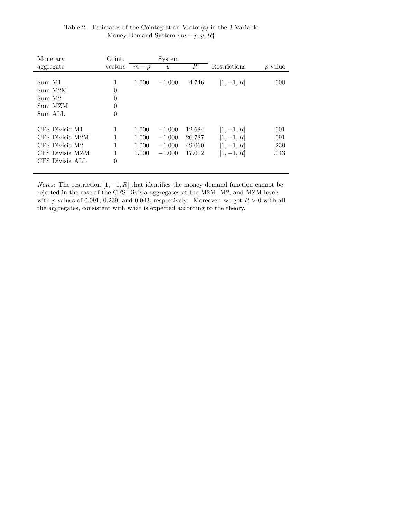| Table 2. Estimates of the Cointegration Vector(s) in the 3-Variable |
|---------------------------------------------------------------------|
| Money Demand System $\{m-p, y, R\}$                                 |

| Monetary        | Coint.   |       | System           |        |              |                 |
|-----------------|----------|-------|------------------|--------|--------------|-----------------|
| aggregate       | vectors  | $m-p$ | $\boldsymbol{y}$ | R      | Restrictions | <i>p</i> -value |
|                 |          |       |                  |        |              |                 |
| Sum M1          | 1        | 1.000 | $-1.000$         | 4.746  | $ 1, -1, R $ | .000            |
| Sum M2M         | $\theta$ |       |                  |        |              |                 |
| Sum M2          | $\theta$ |       |                  |        |              |                 |
| Sum MZM         | 0        |       |                  |        |              |                 |
| Sum ALL         | $\theta$ |       |                  |        |              |                 |
|                 |          |       |                  |        |              |                 |
| CFS Divisia M1  |          | 1.000 | $-1.000$         | 12.684 | $ 1, -1, R $ | .001            |
| CFS Divisia M2M |          | 1.000 | $-1.000$         | 26.787 | $[1, -1, R]$ | .091            |
| CFS Divisia M2  |          | 1.000 | $-1.000$         | 49.060 | $ 1, -1, R $ | .239            |
| CFS Divisia MZM |          | 1.000 | $-1.000$         | 17.012 | $ 1, -1, R $ | .043            |
| CFS Divisia ALL | $\theta$ |       |                  |        |              |                 |
|                 |          |       |                  |        |              |                 |

*Notes*: The restriction  $[1, -1, R]$  that identifies the money demand function cannot be rejected in the case of the CFS Divisia aggregates at the M2M, M2, and MZM levels with p-values of 0.091, 0.239, and 0.043, respectively. Moreover, we get  $R > 0$  with all the aggregates, consistent with what is expected according to the theory.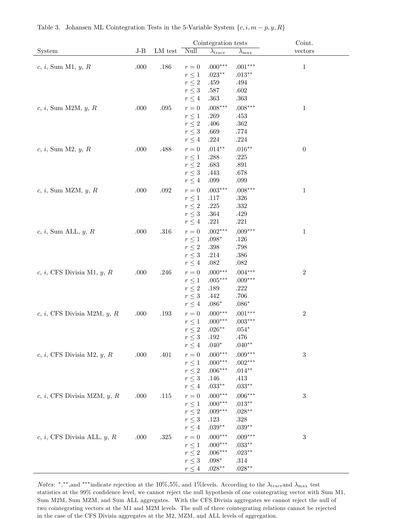|                                 |       |          |                                 | Cointegration tests      |                                | Coint.           |
|---------------------------------|-------|----------|---------------------------------|--------------------------|--------------------------------|------------------|
| System                          | $J-B$ | LM test  | Null                            | $\lambda_{\text{trace}}$ | $\lambda_{\rm max}$            | vectors          |
| $c, i$ , Sum M1, $y, R$         | .000  | .186     | $r=0$<br>$r\leq 1$              | $.000***$<br>$.023**$    | $.001***$<br>$.013^{\ast\ast}$ | $\mathbf{1}$     |
|                                 |       |          | $r\leq 2$<br>$r\leq 3$          | .459<br>$.587\,$         | .494<br>$.602\,$               |                  |
|                                 |       |          | $r\leq 4$                       | .363                     | .363                           |                  |
| $c, i$ , Sum M2M, $y, R$        | .000  | $.095\,$ | $r = 0$<br>$r\leq 1$            | $.008***$                | $.008***$                      | $\mathbf{1}$     |
|                                 |       |          | $r\leq 2$                       | .269<br>.406             | .453<br>$.362\,$               |                  |
|                                 |       |          | $r\leq 3$                       | .669                     | .774                           |                  |
|                                 |       |          | $r\leq 4$                       | .224                     | .224                           |                  |
| $c, i$ , Sum M2, $y, R$         | .000  | .488     | $\boldsymbol{r}=\boldsymbol{0}$ | $.014**$                 | $.016**$                       | $\boldsymbol{0}$ |
|                                 |       |          | $r\leq 1$                       | .288                     | $.225\,$                       |                  |
|                                 |       |          | $r\leq 2$                       | .683                     | .891                           |                  |
|                                 |       |          | $r\leq 3$                       | .443                     | .678                           |                  |
|                                 |       |          | $r\leq 4$                       | .099                     | .099                           |                  |
| $c, i$ , Sum MZM, $y, R$        | .000  | $.092\,$ | $\boldsymbol{r}=\boldsymbol{0}$ | $.003***$                | $.008***$                      | $\mathbf{1}$     |
|                                 |       |          | $r\leq 1$                       | .117                     | .326                           |                  |
|                                 |       |          | $r\leq 2$                       | $.225\,$                 | $.332\,$                       |                  |
|                                 |       |          | $r\leq 3$                       | .364                     | .429                           |                  |
|                                 |       |          | $r\leq 4$                       | .221                     | $.221\,$                       |                  |
| $c, i$ , Sum ALL, $y, R$        | .000  | $.316\,$ | $\boldsymbol{r}=\boldsymbol{0}$ | $.002***$                | $.009***$                      | $\mathbf{1}$     |
|                                 |       |          | $r\leq 1$<br>$r\leq 2$          | $.098*$<br>.398          | .126<br>$.798\,$               |                  |
|                                 |       |          | $r\leq 3$                       | .214                     | $.386\,$                       |                  |
|                                 |       |          | $r\leq 4$                       | .082                     | .082                           |                  |
| $c, i, CFS$ Divisia M1, $y, R$  | .000  | .246     | $\boldsymbol{r}=\boldsymbol{0}$ | $.000***$                | $.004***$                      | $\sqrt{2}$       |
|                                 |       |          | $r\leq 1$                       | $.005***$                | $.009***$                      |                  |
|                                 |       |          | $r\leq 2$                       | .189                     | .222                           |                  |
|                                 |       |          | $r\leq 3$                       | .442                     | $.706\,$                       |                  |
|                                 |       |          | $r\leq 4$                       | $.086*$                  | $.086*$                        |                  |
| $c, i, CFS$ Divisia M2M, $y, R$ | .000  | .193     | $\boldsymbol{r}=\boldsymbol{0}$ | $.000***$                | $.001***$                      | $\sqrt{2}$       |
|                                 |       |          | $r\leq 1$                       | $.000***$                | $.003***$                      |                  |
|                                 |       |          | $r\leq 2$                       | $.026^{\ast\ast}$        | $.054*$                        |                  |
|                                 |       |          | $r\leq 3$                       | .192                     | .476                           |                  |
|                                 |       |          | $r\leq 4$                       | $.040*$                  | $.040**$                       |                  |
| $c, i, CFS$ Divisia M2, $y, R$  | .000  | .401     | $\boldsymbol{r}=\boldsymbol{0}$ | $.000***$                | $.009***$                      | $\sqrt{3}$       |
|                                 |       |          | $r\leq 1$<br>$r\leq 2$          | $.000***$<br>$.006***$   | $.002***$<br>$.014**$          |                  |
|                                 |       |          | $r\leq 3$                       | .146                     | .413                           |                  |
|                                 |       |          | $r\leq 4$                       | $.033**$                 | $.033**$                       |                  |
| $c, i, CFS$ Divisia MZM, $y, R$ | .000  | .115     | $r = 0$                         | $.000***$                | $.006***$                      | 3                |
|                                 |       |          | $r\leq 1$                       | $.000***$                | $.013^{\ast\ast}$              |                  |
|                                 |       |          | $r\leq 2$                       | $.009***$                | $.028**$                       |                  |
|                                 |       |          | $r\leq 3$                       | .123                     | .328                           |                  |
|                                 |       |          | $r\leq 4$                       | $.039**$                 | $.039^{\ast\ast}$              |                  |
| $c, i, CFS$ Divisia ALL, $y, R$ | .000  | $.325\,$ | $r = 0$                         | $.000***$                | $.009***$                      | $\boldsymbol{3}$ |
|                                 |       |          | $r\leq 1$                       | $.000***$                | $.033**$                       |                  |
|                                 |       |          | $r\leq 2$                       | $.006***$                | $.023**$                       |                  |
|                                 |       |          | $r\leq 3$                       | $.098*$                  | .314                           |                  |
|                                 |       |          | $r\leq 4$                       | $.028**$                 | $.028**$                       |                  |

Table 3. Johansen ML Cointegration Tests in the 5-Variable System  $\{c, i, m-p, y, R\}$ 

*Notes*: \*,\*\*, and \*\*\* indicate rejection at the 10%,5%, and 1% levels. According to the  $\lambda_{\rm trace}$  and  $\lambda_{\rm max}$  test statistics at the 99% confidence level, we cannot reject the null hypothesis of one cointegrating vector with Sum M1, Sum M2M, Sum MZM, and Sum ALL aggregates. With the CFS Divisia aggregates we cannot reject the null of two cointegrating vectors at the M1 and M2M levels. The null of three cointegrating relations cannot be rejected in the case of the CFS Divisia aggregates at the M2, MZM, and ALL levels of aggregation.